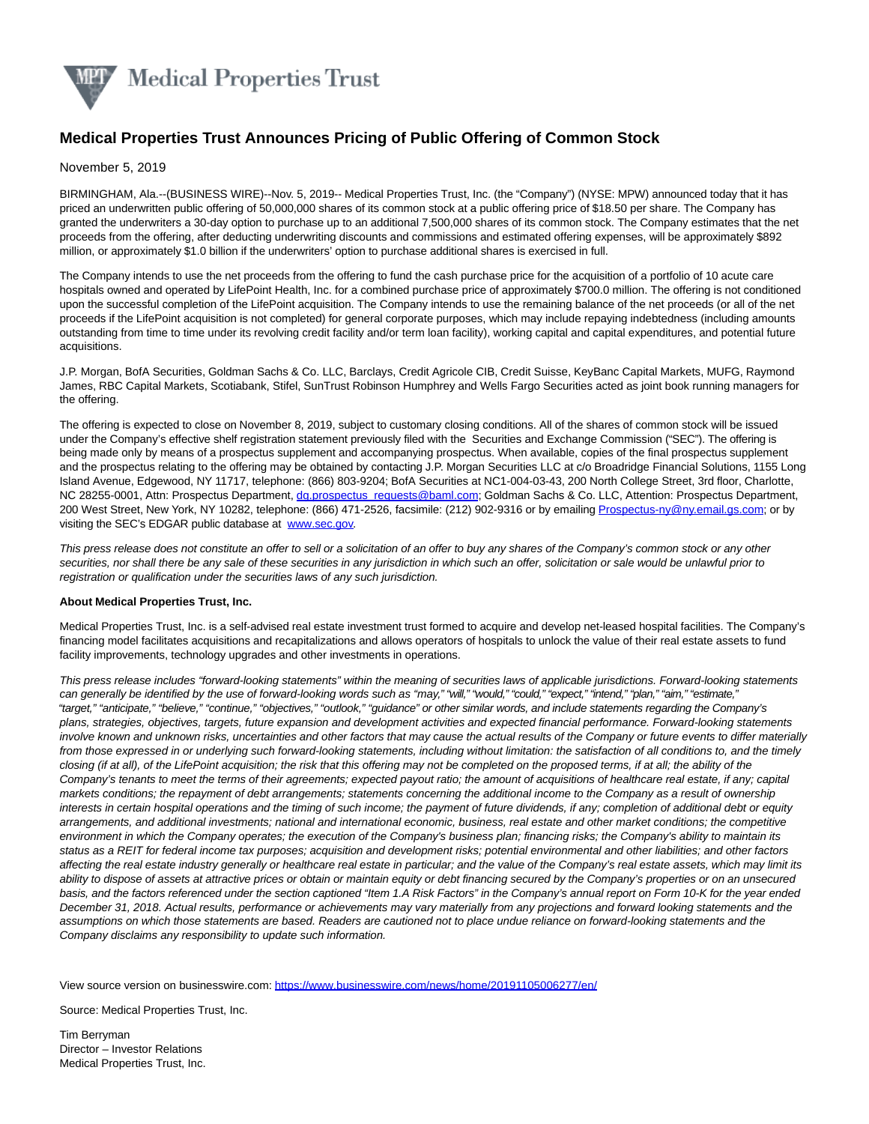**Medical Properties Trust** 

## **Medical Properties Trust Announces Pricing of Public Offering of Common Stock**

November 5, 2019

BIRMINGHAM, Ala.--(BUSINESS WIRE)--Nov. 5, 2019-- Medical Properties Trust, Inc. (the "Company") (NYSE: MPW) announced today that it has priced an underwritten public offering of 50,000,000 shares of its common stock at a public offering price of \$18.50 per share. The Company has granted the underwriters a 30-day option to purchase up to an additional 7,500,000 shares of its common stock. The Company estimates that the net proceeds from the offering, after deducting underwriting discounts and commissions and estimated offering expenses, will be approximately \$892 million, or approximately \$1.0 billion if the underwriters' option to purchase additional shares is exercised in full.

The Company intends to use the net proceeds from the offering to fund the cash purchase price for the acquisition of a portfolio of 10 acute care hospitals owned and operated by LifePoint Health, Inc. for a combined purchase price of approximately \$700.0 million. The offering is not conditioned upon the successful completion of the LifePoint acquisition. The Company intends to use the remaining balance of the net proceeds (or all of the net proceeds if the LifePoint acquisition is not completed) for general corporate purposes, which may include repaying indebtedness (including amounts outstanding from time to time under its revolving credit facility and/or term loan facility), working capital and capital expenditures, and potential future acquisitions.

J.P. Morgan, BofA Securities, Goldman Sachs & Co. LLC, Barclays, Credit Agricole CIB, Credit Suisse, KeyBanc Capital Markets, MUFG, Raymond James, RBC Capital Markets, Scotiabank, Stifel, SunTrust Robinson Humphrey and Wells Fargo Securities acted as joint book running managers for the offering.

The offering is expected to close on November 8, 2019, subject to customary closing conditions. All of the shares of common stock will be issued under the Company's effective shelf registration statement previously filed with the Securities and Exchange Commission ("SEC"). The offering is being made only by means of a prospectus supplement and accompanying prospectus. When available, copies of the final prospectus supplement and the prospectus relating to the offering may be obtained by contacting J.P. Morgan Securities LLC at c/o Broadridge Financial Solutions, 1155 Long Island Avenue, Edgewood, NY 11717, telephone: (866) 803-9204; BofA Securities at NC1-004-03-43, 200 North College Street, 3rd floor, Charlotte, NC 28255-0001, Attn: Prospectus Department[, dg.prospectus\\_requests@baml.com;](mailto:dg.prospectus_requests@baml.com) Goldman Sachs & Co. LLC, Attention: Prospectus Department, 200 West Street, New York, NY 10282, telephone: (866) 471-2526, facsimile: (212) 902-9316 or by emailing [Prospectus-ny@ny.email.gs.com;](mailto:Prospectus-ny@ny.email.gs.com) or by visiting the SEC's EDGAR public database at [www.sec.gov.](https://cts.businesswire.com/ct/CT?id=smartlink&url=http%3A%2F%2Fwww.sec.gov&esheet=52124018&newsitemid=20191105006277&lan=en-US&anchor=www.sec.gov&index=1&md5=65d00f6e47f4011a2bc69351ba567bad)

This press release does not constitute an offer to sell or a solicitation of an offer to buy any shares of the Company's common stock or any other securities, nor shall there be any sale of these securities in any jurisdiction in which such an offer, solicitation or sale would be unlawful prior to registration or qualification under the securities laws of any such jurisdiction.

## **About Medical Properties Trust, Inc.**

Medical Properties Trust, Inc. is a self-advised real estate investment trust formed to acquire and develop net-leased hospital facilities. The Company's financing model facilitates acquisitions and recapitalizations and allows operators of hospitals to unlock the value of their real estate assets to fund facility improvements, technology upgrades and other investments in operations.

This press release includes "forward-looking statements" within the meaning of securities laws of applicable jurisdictions. Forward-looking statements can generally be identified by the use of forward-looking words such as "may," "will," "would," "could," "expect," "intend," "plan," "aim," "estimate," "target," "anticipate," "believe," "continue," "objectives," "outlook," "guidance" or other similar words, and include statements regarding the Company's plans, strategies, objectives, targets, future expansion and development activities and expected financial performance. Forward-looking statements involve known and unknown risks, uncertainties and other factors that may cause the actual results of the Company or future events to differ materially from those expressed in or underlying such forward-looking statements, including without limitation: the satisfaction of all conditions to, and the timely closing (if at all), of the LifePoint acquisition; the risk that this offering may not be completed on the proposed terms, if at all; the ability of the Company's tenants to meet the terms of their agreements; expected payout ratio; the amount of acquisitions of healthcare real estate, if any; capital markets conditions; the repayment of debt arrangements; statements concerning the additional income to the Company as a result of ownership interests in certain hospital operations and the timing of such income; the payment of future dividends, if any; completion of additional debt or equity arrangements, and additional investments; national and international economic, business, real estate and other market conditions; the competitive environment in which the Company operates; the execution of the Company's business plan; financing risks; the Company's ability to maintain its status as a REIT for federal income tax purposes; acquisition and development risks; potential environmental and other liabilities; and other factors affecting the real estate industry generally or healthcare real estate in particular; and the value of the Company's real estate assets, which may limit its ability to dispose of assets at attractive prices or obtain or maintain equity or debt financing secured by the Company's properties or on an unsecured basis, and the factors referenced under the section captioned "Item 1.A Risk Factors" in the Company's annual report on Form 10-K for the year ended December 31, 2018. Actual results, performance or achievements may vary materially from any projections and forward looking statements and the assumptions on which those statements are based. Readers are cautioned not to place undue reliance on forward-looking statements and the Company disclaims any responsibility to update such information.

View source version on businesswire.com:<https://www.businesswire.com/news/home/20191105006277/en/>

Source: Medical Properties Trust, Inc.

Tim Berryman Director – Investor Relations Medical Properties Trust, Inc.